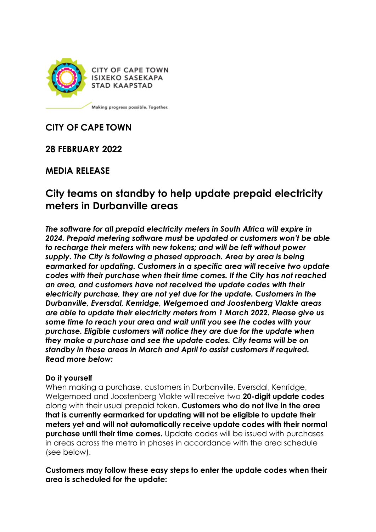

**CITY OF CAPE TOWN ISIXEKO SASEKAPA STAD KAAPSTAD** 

Making progress possible. Together.

# **CITY OF CAPE TOWN**

**28 FEBRUARY 2022**

# **MEDIA RELEASE**

# **City teams on standby to help update prepaid electricity meters in Durbanville areas**

*The software for all prepaid electricity meters in South Africa will expire in 2024. Prepaid metering software must be updated or customers won't be able to recharge their meters with new tokens; and will be left without power supply. The City is following a phased approach. Area by area is being earmarked for updating. Customers in a specific area will receive two update codes with their purchase when their time comes. If the City has not reached an area, and customers have not received the update codes with their electricity purchase, they are not yet due for the update. Customers in the Durbanville, Eversdal, Kenridge, Welgemoed and Joostenberg Vlakte areas are able to update their electricity meters from 1 March 2022. Please give us some time to reach your area and wait until you see the codes with your purchase. Eligible customers will notice they are due for the update when they make a purchase and see the update codes. City teams will be on standby in these areas in March and April to assist customers if required. Read more below:* 

#### **Do it yourself**

When making a purchase, customers in Durbanville, Eversdal, Kenridge, Welgemoed and Joostenberg Vlakte will receive two **20-digit update codes**  along with their usual prepaid token. **Customers who do not live in the area that is currently earmarked for updating will not be eligible to update their meters yet and will not automatically receive update codes with their normal purchase until their time comes.** Update codes will be issued with purchases in areas across the metro in phases in accordance with the area schedule (see below).

**Customers may follow these easy steps to enter the update codes when their area is scheduled for the update:**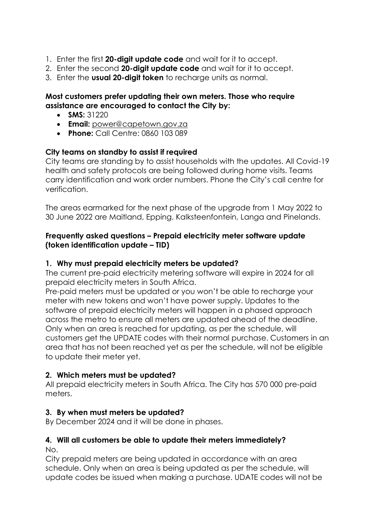- 1. Enter the first **20-digit update code** and wait for it to accept.
- 2. Enter the second **20-digit update code** and wait for it to accept.
- 3. Enter the **usual 20-digit token** to recharge units as normal.

### **Most customers prefer updating their own meters. Those who require assistance are encouraged to contact the City by:**

- **SMS:** 31220
- **Email:** [power@capetown.gov.za](mailto:power@capetown.gov.za)
- **Phone:** Call Centre: 0860 103 089

### **City teams on standby to assist if required**

City teams are standing by to assist households with the updates. All Covid-19 health and safety protocols are being followed during home visits. Teams carry identification and work order numbers. Phone the City's call centre for verification.

The areas earmarked for the next phase of the upgrade from 1 May 2022 to 30 June 2022 are Maitland, Epping, Kalksteenfontein, Langa and Pinelands.

### **Frequently asked questions – Prepaid electricity meter software update (token identification update – TID)**

### **1. Why must prepaid electricity meters be updated?**

The current pre-paid electricity metering software will expire in 2024 for all prepaid electricity meters in South Africa.

Pre-paid meters must be updated or you won't be able to recharge your meter with new tokens and won't have power supply. Updates to the software of prepaid electricity meters will happen in a phased approach across the metro to ensure all meters are updated ahead of the deadline. Only when an area is reached for updating, as per the schedule, will customers get the UPDATE codes with their normal purchase. Customers in an area that has not been reached yet as per the schedule, will not be eligible to update their meter yet.

### **2. Which meters must be updated?**

All prepaid electricity meters in South Africa. The City has 570 000 pre-paid meters.

### **3. By when must meters be updated?**

By December 2024 and it will be done in phases.

#### **4. Will all customers be able to update their meters immediately?**  No.

City prepaid meters are being updated in accordance with an area schedule. Only when an area is being updated as per the schedule, will update codes be issued when making a purchase. UDATE codes will not be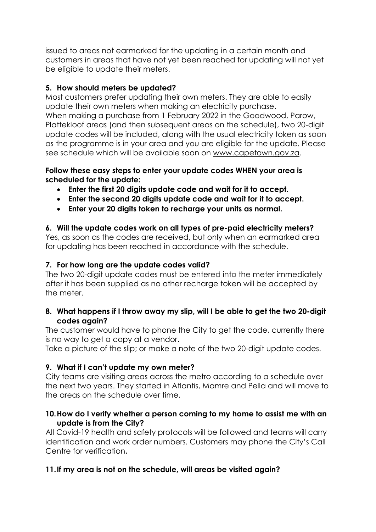issued to areas not earmarked for the updating in a certain month and customers in areas that have not yet been reached for updating will not yet be eligible to update their meters.

### **5. How should meters be updated?**

Most customers prefer updating their own meters. They are able to easily update their own meters when making an electricity purchase. When making a purchase from 1 February 2022 in the Goodwood, Parow, Plattekloof areas (and then subsequent areas on the schedule), two 20-digit update codes will be included, along with the usual electricity token as soon as the programme is in your area and you are eligible for the update. Please see schedule which will be available soon on [www.capetown.gov.za.](http://www.capetown.gov.za/)

#### **Follow these easy steps to enter your update codes WHEN your area is scheduled for the update:**

- **Enter the first 20 digits update code and wait for it to accept.**
- **Enter the second 20 digits update code and wait for it to accept.**
- **Enter your 20 digits token to recharge your units as normal.**

### **6. Will the update codes work on all types of pre-paid electricity meters?**

Yes, as soon as the codes are received, but only when an earmarked area for updating has been reached in accordance with the schedule.

### **7. For how long are the update codes valid?**

The two 20-digit update codes must be entered into the meter immediately after it has been supplied as no other recharge token will be accepted by the meter.

#### **8. What happens if I throw away my slip, will I be able to get the two 20-digit codes again?**

The customer would have to phone the City to get the code, currently there is no way to get a copy at a vendor.

Take a picture of the slip; or make a note of the two 20-digit update codes.

### **9. What if I can't update my own meter?**

City teams are visiting areas across the metro according to a schedule over the next two years. They started in Atlantis, Mamre and Pella and will move to the areas on the schedule over time.

### **10.How do I verify whether a person coming to my home to assist me with an update is from the City?**

All Covid-19 health and safety protocols will be followed and teams will carry identification and work order numbers. Customers may phone the City's Call Centre for verification**.** 

# **11.If my area is not on the schedule, will areas be visited again?**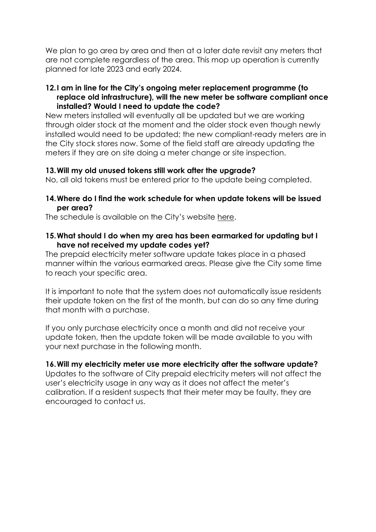We plan to go area by area and then at a later date revisit any meters that are not complete regardless of the area. This mop up operation is currently planned for late 2023 and early 2024.

#### **12.I am in line for the City's ongoing meter replacement programme (to replace old infrastructure), will the new meter be software compliant once installed? Would I need to update the code?**

New meters installed will eventually all be updated but we are working through older stock at the moment and the older stock even though newly installed would need to be updated; the new compliant-ready meters are in the City stock stores now. Some of the field staff are already updating the meters if they are on site doing a meter change or site inspection.

#### **13.Will my old unused tokens still work after the upgrade?**

No, all old tokens must be entered prior to the update being completed.

#### **14.Where do I find the work schedule for when update tokens will be issued per area?**

The schedule is available on the City's website [here.](https://resource.capetown.gov.za/documentcentre/Documents/Procedures,%20guidelines%20and%20regulations/Token_Identifier_Roll-Out_Plan_Key_Change_Token_Project_Schedule.pdf)

#### **15.What should I do when my area has been earmarked for updating but I have not received my update codes yet?**

The prepaid electricity meter software update takes place in a phased manner within the various earmarked areas. Please give the City some time to reach your specific area.

It is important to note that the system does not automatically issue residents their update token on the first of the month, but can do so any time during that month with a purchase.

If you only purchase electricity once a month and did not receive your update token, then the update token will be made available to you with your next purchase in the following month.

#### **16.Will my electricity meter use more electricity after the software update?**

Updates to the software of City prepaid electricity meters will not affect the user's electricity usage in any way as it does not affect the meter's calibration. If a resident suspects that their meter may be faulty, they are encouraged to contact us.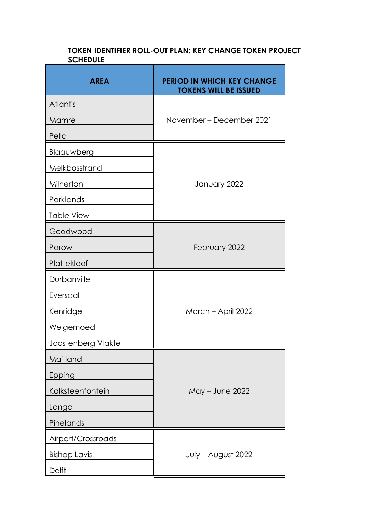#### **TOKEN IDENTIFIER ROLL-OUT PLAN: KEY CHANGE TOKEN PROJECT SCHEDULE**

| <b>AREA</b>         | <b>PERIOD IN WHICH KEY CHANGE</b><br><b>TOKENS WILL BE ISSUED</b> |  |
|---------------------|-------------------------------------------------------------------|--|
| <b>Atlantis</b>     |                                                                   |  |
| Mamre               | November – December 2021                                          |  |
| Pella               |                                                                   |  |
| Blaauwberg          |                                                                   |  |
| Melkbosstrand       |                                                                   |  |
| Milnerton           | January 2022                                                      |  |
| Parklands           |                                                                   |  |
| Table View          |                                                                   |  |
| Goodwood            |                                                                   |  |
| Parow               | February 2022                                                     |  |
| Plattekloof         |                                                                   |  |
| Durbanville         |                                                                   |  |
| Eversdal            |                                                                   |  |
| Kenridge            | March - April 2022                                                |  |
| Welgemoed           |                                                                   |  |
| Joostenberg Vlakte  |                                                                   |  |
| Maitland            |                                                                   |  |
| Epping              |                                                                   |  |
| Kalksteenfontein    | May - June 2022                                                   |  |
| Langa               |                                                                   |  |
| Pinelands           |                                                                   |  |
| Airport/Crossroads  |                                                                   |  |
| <b>Bishop Lavis</b> | July - August 2022                                                |  |
| <b>Delft</b>        |                                                                   |  |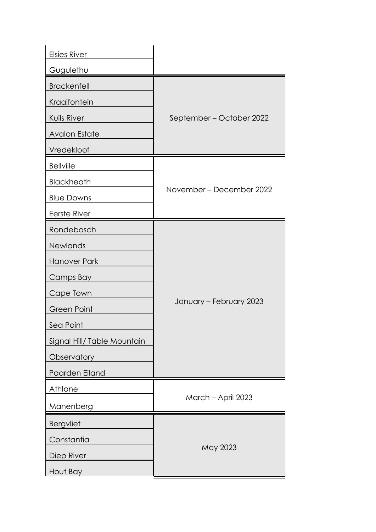| <b>Elsies River</b>         |                          |  |
|-----------------------------|--------------------------|--|
| Gugulethu                   |                          |  |
| <b>Brackenfell</b>          |                          |  |
| Kraaifontein                |                          |  |
| Kuils River                 | September – October 2022 |  |
| <b>Avalon Estate</b>        |                          |  |
| Vredekloof                  |                          |  |
| <b>Bellville</b>            |                          |  |
| Blackheath                  |                          |  |
| <b>Blue Downs</b>           | November – December 2022 |  |
| Eerste River                |                          |  |
| Rondebosch                  |                          |  |
| Newlands                    |                          |  |
| <b>Hanover Park</b>         |                          |  |
| Camps Bay                   |                          |  |
| Cape Town                   |                          |  |
| Green Point                 | January - February 2023  |  |
| Sea Point                   |                          |  |
| Signal Hill/ Table Mountain |                          |  |
| Observatory                 |                          |  |
| Paarden Eiland              |                          |  |
| Athlone                     |                          |  |
| Manenberg                   | March - April 2023       |  |
| <b>Bergvliet</b>            |                          |  |
| Constantia                  | May 2023                 |  |
| Diep River                  |                          |  |
| Hout Bay                    |                          |  |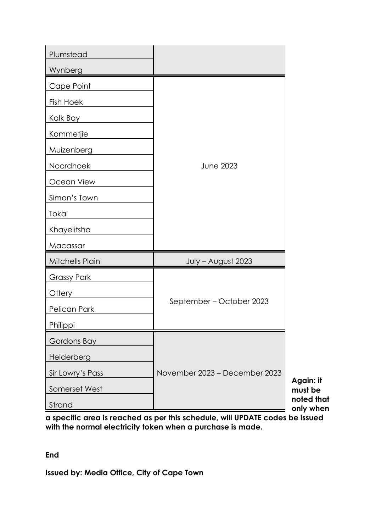| Plumstead          |                               |                         |
|--------------------|-------------------------------|-------------------------|
| Wynberg            |                               |                         |
| Cape Point         |                               |                         |
| Fish Hoek          |                               |                         |
| Kalk Bay           |                               |                         |
| Kommetjie          |                               |                         |
| Muizenberg         |                               |                         |
| Noordhoek          | <b>June 2023</b>              |                         |
| Ocean View         |                               |                         |
| Simon's Town       |                               |                         |
| Tokai              |                               |                         |
| Khayelitsha        |                               |                         |
| Macassar           |                               |                         |
| Mitchells Plain    | July - August 2023            |                         |
| <b>Grassy Park</b> |                               |                         |
| Ottery             | September – October 2023      |                         |
| Pelican Park       |                               |                         |
| Philippi           |                               |                         |
| Gordons Bay        |                               |                         |
| Helderberg         |                               |                         |
| Sir Lowry's Pass   | November 2023 - December 2023 | Again: it               |
| Somerset West      |                               | must be                 |
| Strand             |                               | noted that<br>only when |

**a specific area is reached as per this schedule, will UPDATE codes be issued with the normal electricity token when a purchase is made.** 

**End**

**Issued by: Media Office, City of Cape Town**